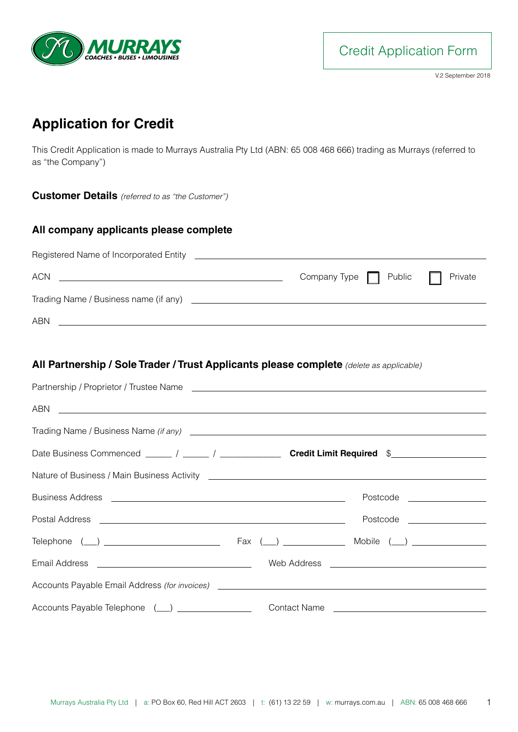

**Credit Application Form** 

V.2 September 2018

# **Application for Credit**

This Credit Application is made to Murrays Australia Pty Ltd (ABN: 65 008 468 666) trading as Murrays (referred to as "the Company")

**Customer Details** *(referred to as "the Customer")*

#### **All company applicants please complete**

| <b>ACN</b><br><u> 1999 - Johann John Stone, market fra de format en de format en del seu de format en del seu de format en de</u> | Company Type $\Box$ Public $\Box$ Private |  |
|-----------------------------------------------------------------------------------------------------------------------------------|-------------------------------------------|--|
|                                                                                                                                   |                                           |  |
| ABN                                                                                                                               |                                           |  |

#### **All Partnership / Sole Trader / Trust Applicants please complete** *(delete as applicable)*

| ABN <u>International Contract of Construction Contract Construction Construction Construction Construction Construction Construction Construction Construction Construction Construction Construction Construction Construction </u> |                                                                                                       |
|--------------------------------------------------------------------------------------------------------------------------------------------------------------------------------------------------------------------------------------|-------------------------------------------------------------------------------------------------------|
|                                                                                                                                                                                                                                      |                                                                                                       |
|                                                                                                                                                                                                                                      | Date Business Commenced ______ / ______ / _________________ Credit Limit Required \$_________________ |
|                                                                                                                                                                                                                                      |                                                                                                       |
|                                                                                                                                                                                                                                      |                                                                                                       |
|                                                                                                                                                                                                                                      | Postcode ___________________                                                                          |
|                                                                                                                                                                                                                                      |                                                                                                       |
|                                                                                                                                                                                                                                      |                                                                                                       |
|                                                                                                                                                                                                                                      |                                                                                                       |
| Accounts Payable Telephone (__) _______________                                                                                                                                                                                      |                                                                                                       |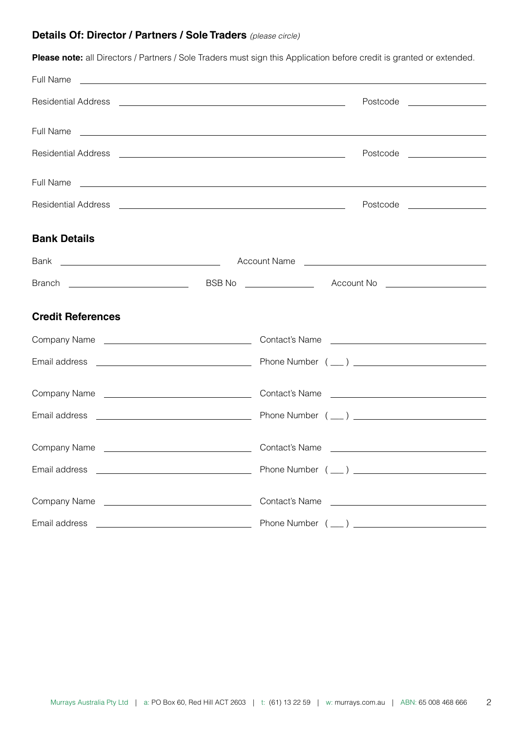#### **Details Of: Director / Partners / Sole Traders** *(please circle)*

**Please note:** all Directors / Partners / Sole Traders must sign this Application before credit is granted or extended.

| Full Name                                                                                                                             | <u> 1999 - Johann Stoff, deutscher Stoffen und der Stoffen und der Stoffen und der Stoffen und der Stoffen und der</u>                                                                                                               |  |
|---------------------------------------------------------------------------------------------------------------------------------------|--------------------------------------------------------------------------------------------------------------------------------------------------------------------------------------------------------------------------------------|--|
|                                                                                                                                       | Postcode _________________                                                                                                                                                                                                           |  |
|                                                                                                                                       |                                                                                                                                                                                                                                      |  |
|                                                                                                                                       | Postcode __________________                                                                                                                                                                                                          |  |
|                                                                                                                                       | Full Name <b>contract the contract of the contract of the contract of the contract of the contract of the contract of the contract of the contract of the contract of the contract of the contract of the contract of the contra</b> |  |
|                                                                                                                                       | Postcode __________________                                                                                                                                                                                                          |  |
| <b>Bank Details</b>                                                                                                                   |                                                                                                                                                                                                                                      |  |
|                                                                                                                                       |                                                                                                                                                                                                                                      |  |
|                                                                                                                                       |                                                                                                                                                                                                                                      |  |
| <b>Credit References</b>                                                                                                              |                                                                                                                                                                                                                                      |  |
|                                                                                                                                       |                                                                                                                                                                                                                                      |  |
|                                                                                                                                       |                                                                                                                                                                                                                                      |  |
|                                                                                                                                       |                                                                                                                                                                                                                                      |  |
|                                                                                                                                       |                                                                                                                                                                                                                                      |  |
|                                                                                                                                       |                                                                                                                                                                                                                                      |  |
|                                                                                                                                       |                                                                                                                                                                                                                                      |  |
|                                                                                                                                       | Contact's Name <b>contact's</b> Name contact's Name contact is not all the contact of the contact of the contact of the contact of the contact of the contact of the contact of the contact of the contact of the contact of the co  |  |
| Email address<br><u> Alexandria de la contrada de la contrada de la contrada de la contrada de la contrada de la contrada de la c</u> |                                                                                                                                                                                                                                      |  |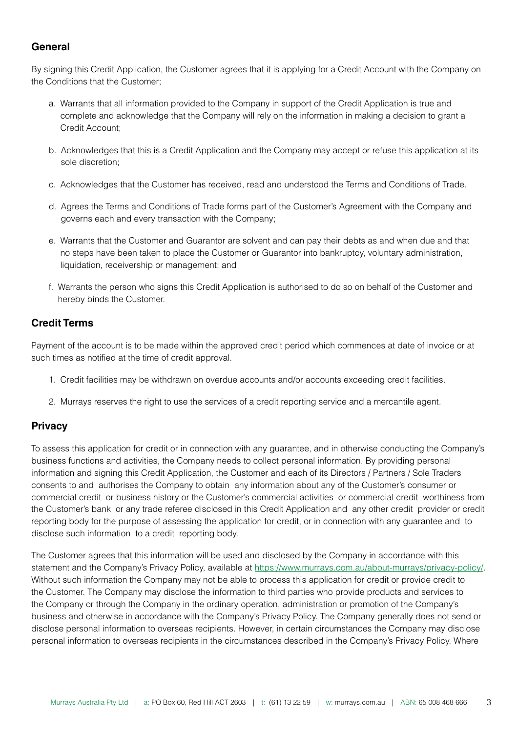## **General**

By signing this Credit Application, the Customer agrees that it is applying for a Credit Account with the Company on the Conditions that the Customer;

- a. Warrants that all information provided to the Company in support of the Credit Application is true and complete and acknowledge that the Company will rely on the information in making a decision to grant a Credit Account;
- b. Acknowledges that this is a Credit Application and the Company may accept or refuse this application at its sole discretion;
- c. Acknowledges that the Customer has received, read and understood the Terms and Conditions of Trade.
- d. Agrees the Terms and Conditions of Trade forms part of the Customer's Agreement with the Company and governs each and every transaction with the Company;
- e. Warrants that the Customer and Guarantor are solvent and can pay their debts as and when due and that no steps have been taken to place the Customer or Guarantor into bankruptcy, voluntary administration, liquidation, receivership or management; and
- f. Warrants the person who signs this Credit Application is authorised to do so on behalf of the Customer and hereby binds the Customer.

## **Credit Terms**

Payment of the account is to be made within the approved credit period which commences at date of invoice or at such times as notified at the time of credit approval.

- 1. Credit facilities may be withdrawn on overdue accounts and/or accounts exceeding credit facilities.
- 2. Murrays reserves the right to use the services of a credit reporting service and a mercantile agent.

## **Privacy**

To assess this application for credit or in connection with any guarantee, and in otherwise conducting the Company's business functions and activities, the Company needs to collect personal information. By providing personal information and signing this Credit Application, the Customer and each of its Directors / Partners / Sole Traders consents to and authorises the Company to obtain any information about any of the Customer's consumer or commercial credit or business history or the Customer's commercial activities or commercial credit worthiness from the Customer's bank or any trade referee disclosed in this Credit Application and any other credit provider or credit reporting body for the purpose of assessing the application for credit, or in connection with any guarantee and to disclose such information to a credit reporting body.

The Customer agrees that this information will be used and disclosed by the Company in accordance with this statement and the Company's Privacy Policy, available at [https://www.murrays.com.au/about-murrays/privacy-policy/.](https://www.murrays.com.au/about-murrays/privacy-policy/) Without such information the Company may not be able to process this application for credit or provide credit to the Customer. The Company may disclose the information to third parties who provide products and services to the Company or through the Company in the ordinary operation, administration or promotion of the Company's business and otherwise in accordance with the Company's Privacy Policy. The Company generally does not send or disclose personal information to overseas recipients. However, in certain circumstances the Company may disclose personal information to overseas recipients in the circumstances described in the Company's Privacy Policy. Where